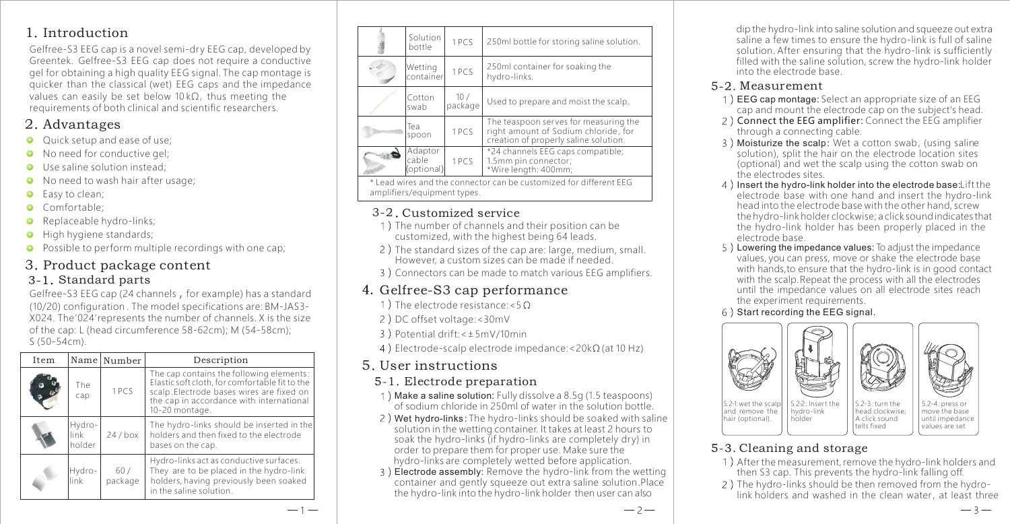#### 1. Introduction

Gelfree-S3 EEG cap is a novel semi-dry EEG cap, developed by Greentek. Gelfree-S3 EEG cap does not require a conductive gel for obtaining a high quality EEG signal. The cap montage is quicker than the classical (wet) EEG caps and the impedance values can easily be set below 10 kΩ, thus meeting the requirements of both clinical and scientific researchers.

#### 2. Advantages

- Ouick setup and ease of use:
- No need for conductive gel;
- **O** Use saline solution instead:
- No need to wash hair after usage:
- **C** Fasy to clean:
- Comfortable:
- Replaceable hydro-links;  $\bullet$
- **High hygiene standards;**
- **O** Possible to perform multiple recordings with one cap;

# 3. Product package content

#### Standard parts

Gelfree-S3 EEG cap (24 channels, for example) has a standard (10/20) configuration . The model specifications are: BM-JAS3- X024. The '024' represents the number of channels. X is the size of the cap: L (head circumference 58-62cm); M (54-58cm); S (50-54cm).

| Item |                            | Name Number    | Description                                                                                                                                                                                          |
|------|----------------------------|----------------|------------------------------------------------------------------------------------------------------------------------------------------------------------------------------------------------------|
|      | The<br>cap                 | 1PCS           | The cap contains the following elements:<br>Elastic soft cloth, for comfortable fit to the<br>scalp.Electrode bases wires are fixed on<br>the cap in accordance with international<br>10-20 montage. |
|      | Hydro-<br>link -<br>holder | 24/box         | The hydro-links should be inserted in the<br>holders and then fixed to the electrode<br>bases on the cap.                                                                                            |
|      | Hydro-<br>link             | 60/<br>package | Hydro-links act as conductive surfaces.<br>They are to be placed in the hydro-link<br>holders, having previously been soaked<br>in the saline solution.                                              |

| Solution<br>bottle             | 1PCS           | 250ml bottle for storing saline solution.                                                                              |
|--------------------------------|----------------|------------------------------------------------------------------------------------------------------------------------|
| Wetting<br>container           | 1PCS           | 250ml container for soaking the<br>hydro-links.                                                                        |
| Cotton<br>swab                 | 10/<br>package | Used to prepare and moist the scalp.                                                                                   |
| Tea<br>spoon                   | 1PCS           | The teaspoon serves for measuring the<br>right amount of Sodium chloride, for<br>creation of properly saline solution. |
| Adaptor<br>cable<br>(optional) | 1PCS           | *24 channels EEG caps compatible;<br>1.5mm pin connector;<br>*Wire length: 400mm;                                      |

\* Lead wires and the connector can be customized for different EEG amplifiers/equipment types.

#### 3-2 Customized service

- 1) The number of channels and their position can be customized, with the highest being 64 leads.
- 2) The standard sizes of the cap are: large, medium, small. However, a custom sizes can be made if needed.
- 3) Connectors can be made to match various EEG amplifiers.

### 4. Gelfree-S3 cap performance

- 1) The electrode resistance: <50
- 2) DC offset voltage: < 30mV
- Potential drift:< 5mV/10min
- 4) Electrode-scalp electrode impedance: <20 $k\Omega$  (at 10 Hz)

#### User instructions 5

#### Electrode preparation

- 1) Make a saline solution: Fully dissolve a 8.5g (1.5 teaspoons) of sodium chloride in 250ml of water in the solution bottle.
- 2) Wet hydro-links: The hydro-links should be soaked with saline solution in the wetting container. It takes at least 2 hours to soak the hydro-links (if hydro-links are completely dry) in order to prepare them for proper use. Make sure the hydro-links are completely wetted before application.
- 3) Electrode assembly: Remove the hydro-link from the wetting container and gently squeeze out extra saline solution. Place the hydro-link into the hydro-link holder then user can also

dip the hydro-link into saline solution and squeeze out extra saline a few times to ensure the hydro-link is full of saline solution. After ensuring that the hydro-link is sufficiently filled with the saline solution, screw the hydro-link holder into the electrode base.

#### Measurement

- EEG cap montage: Select an appropriate size of an EEG cap and mount the electrode cap on the subject's head.
- Connect the EEG amplifier: Connect the EEG amplifier through a connecting cable.
- 3) Moisturize the scalp: Wet a cotton swab, (using saline solution), split the hair on the electrode location sites (optional) and wet the scalp using the cotton swab on the electrodes sites.
- 4) Insert the hydro-link holder into the electrode base: Lift the electrode base with one hand and insert the hydro-link head into the electrode base with the other hand, screw the hydro-link holder clockwise; a click sound indicates that the hydro-link holder has been properly placed in the electrode base.
- 5) Lowering the impedance values: To adjust the impedance values, you can press, move or shake the electrode base with hands,to ensure that the hydro-link is in good contact with the scalp. Repeat the process with all the electrodes until the impedance values on all electrode sites reach the experiment requirements.
- $6$ ) Start recording the EEG signal.



#### 5-3. Cleaning and storage

1) After the measurement, remove the hydro-link holders and then S3 cap. This prevents the hydro-link falling off.

tells fixed

values are set

 $-3-$ 

2) The hydro-links should be then removed from the hydrolink holders and washed in the clean water, at least three

 $-2-$